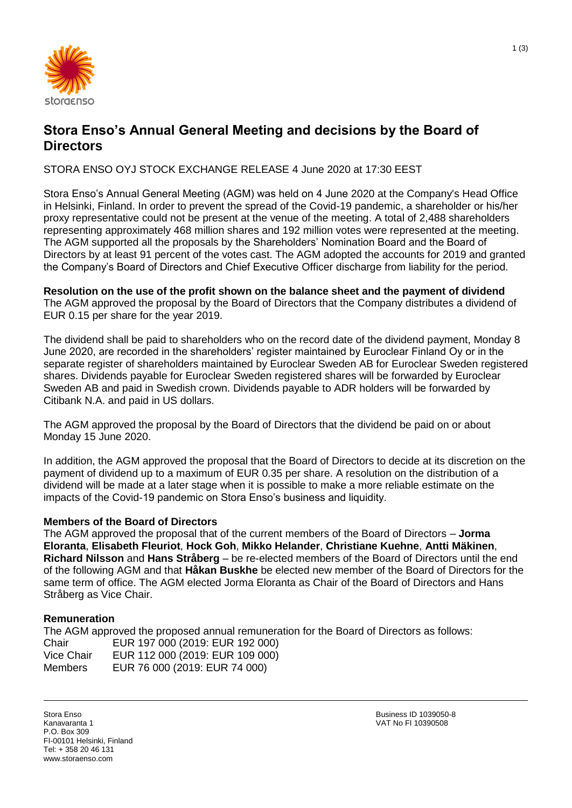

# **Stora Enso's Annual General Meeting and decisions by the Board of Directors**

STORA ENSO OYJ STOCK EXCHANGE RELEASE 4 June 2020 at 17:30 EEST

Stora Enso's Annual General Meeting (AGM) was held on 4 June 2020 at the Company's Head Office in Helsinki, Finland. In order to prevent the spread of the Covid-19 pandemic, a shareholder or his/her proxy representative could not be present at the venue of the meeting. A total of 2,488 shareholders representing approximately 468 million shares and 192 million votes were represented at the meeting. The AGM supported all the proposals by the Shareholders' Nomination Board and the Board of Directors by at least 91 percent of the votes cast. The AGM adopted the accounts for 2019 and granted the Company's Board of Directors and Chief Executive Officer discharge from liability for the period.

**Resolution on the use of the profit shown on the balance sheet and the payment of dividend** The AGM approved the proposal by the Board of Directors that the Company distributes a dividend of EUR 0.15 per share for the year 2019.

The dividend shall be paid to shareholders who on the record date of the dividend payment, Monday 8 June 2020, are recorded in the shareholders' register maintained by Euroclear Finland Oy or in the separate register of shareholders maintained by Euroclear Sweden AB for Euroclear Sweden registered shares. Dividends payable for Euroclear Sweden registered shares will be forwarded by Euroclear Sweden AB and paid in Swedish crown. Dividends payable to ADR holders will be forwarded by Citibank N.A. and paid in US dollars.

The AGM approved the proposal by the Board of Directors that the dividend be paid on or about Monday 15 June 2020.

In addition, the AGM approved the proposal that the Board of Directors to decide at its discretion on the payment of dividend up to a maximum of EUR 0.35 per share. A resolution on the distribution of a dividend will be made at a later stage when it is possible to make a more reliable estimate on the impacts of the Covid-19 pandemic on Stora Enso's business and liquidity.

# **Members of the Board of Directors**

The AGM approved the proposal that of the current members of the Board of Directors – **Jorma Eloranta**, **Elisabeth Fleuriot**, **Hock Goh**, **Mikko Helander**, **Christiane Kuehne**, **Antti Mäkinen**, **Richard Nilsson** and **Hans Stråberg** – be re-elected members of the Board of Directors until the end of the following AGM and that **Håkan Buskhe** be elected new member of the Board of Directors for the same term of office. The AGM elected Jorma Eloranta as Chair of the Board of Directors and Hans Stråberg as Vice Chair.

## **Remuneration**

The AGM approved the proposed annual remuneration for the Board of Directors as follows: Chair EUR 197 000 (2019: EUR 192 000)<br>Vice Chair EUR 112 000 (2019: EUR 109 000) EUR 112 000 (2019: EUR 109 000) Members EUR 76 000 (2019: EUR 74 000)

Stora Enso Kanavaranta 1 P.O. Box 309 FI-00101 Helsinki, Finland Tel: + 358 20 46 131 www.storaenso.com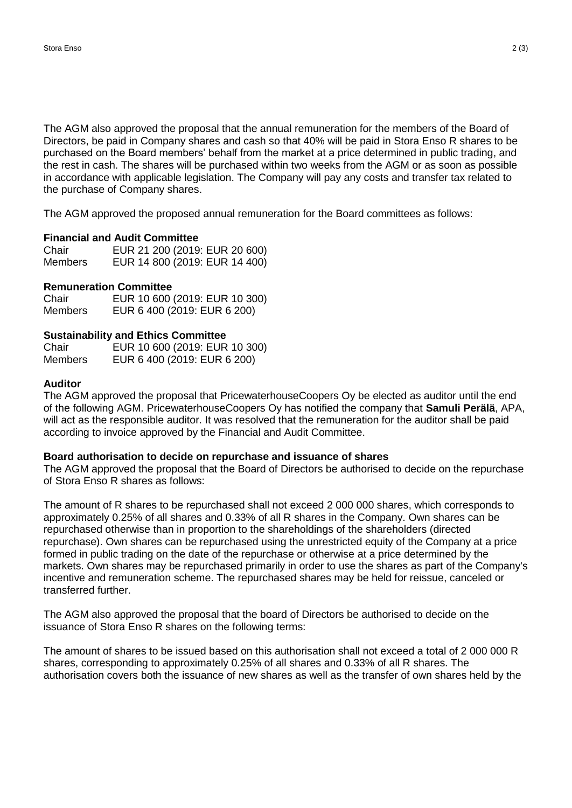The AGM also approved the proposal that the annual remuneration for the members of the Board of Directors, be paid in Company shares and cash so that 40% will be paid in Stora Enso R shares to be purchased on the Board members' behalf from the market at a price determined in public trading, and the rest in cash. The shares will be purchased within two weeks from the AGM or as soon as possible in accordance with applicable legislation. The Company will pay any costs and transfer tax related to the purchase of Company shares.

The AGM approved the proposed annual remuneration for the Board committees as follows:

### **Financial and Audit Committee**

| Chair          | EUR 21 200 (2019: EUR 20 600) |
|----------------|-------------------------------|
| <b>Members</b> | EUR 14 800 (2019: EUR 14 400) |

#### **Remuneration Committee**

| Chair          | EUR 10 600 (2019: EUR 10 300) |
|----------------|-------------------------------|
| <b>Members</b> | EUR 6 400 (2019: EUR 6 200)   |

#### **Sustainability and Ethics Committee**

| Chair          | EUR 10 600 (2019: EUR 10 300) |
|----------------|-------------------------------|
| <b>Members</b> | EUR 6 400 (2019: EUR 6 200)   |

#### **Auditor**

The AGM approved the proposal that PricewaterhouseCoopers Oy be elected as auditor until the end of the following AGM. PricewaterhouseCoopers Oy has notified the company that **Samuli Perälä**, APA, will act as the responsible auditor. It was resolved that the remuneration for the auditor shall be paid according to invoice approved by the Financial and Audit Committee.

### **Board authorisation to decide on repurchase and issuance of shares**

The AGM approved the proposal that the Board of Directors be authorised to decide on the repurchase of Stora Enso R shares as follows:

The amount of R shares to be repurchased shall not exceed 2 000 000 shares, which corresponds to approximately 0.25% of all shares and 0.33% of all R shares in the Company. Own shares can be repurchased otherwise than in proportion to the shareholdings of the shareholders (directed repurchase). Own shares can be repurchased using the unrestricted equity of the Company at a price formed in public trading on the date of the repurchase or otherwise at a price determined by the markets. Own shares may be repurchased primarily in order to use the shares as part of the Company's incentive and remuneration scheme. The repurchased shares may be held for reissue, canceled or transferred further.

The AGM also approved the proposal that the board of Directors be authorised to decide on the issuance of Stora Enso R shares on the following terms:

The amount of shares to be issued based on this authorisation shall not exceed a total of 2 000 000 R shares, corresponding to approximately 0.25% of all shares and 0.33% of all R shares. The authorisation covers both the issuance of new shares as well as the transfer of own shares held by the